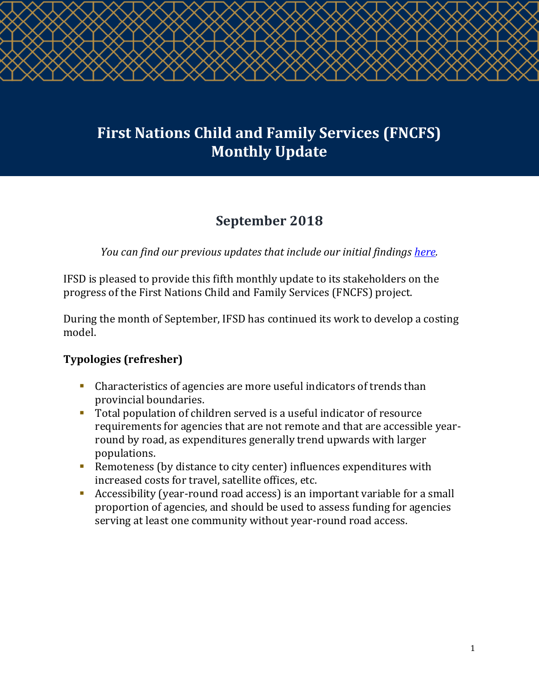# **First Nations Child and Family Services (FNCFS) Monthly Update**

# **September 2018**

*You can find our previous updates that include our initial findings [here.](http://ifsd.ca/en/monthly-updates)*

IFSD is pleased to provide this fifth monthly update to its stakeholders on the progress of the First Nations Child and Family Services (FNCFS) project.

During the month of September, IFSD has continued its work to develop a costing model.

## **Typologies (refresher)**

- Characteristics of agencies are more useful indicators of trends than provincial boundaries.
- Total population of children served is a useful indicator of resource requirements for agencies that are not remote and that are accessible yearround by road, as expenditures generally trend upwards with larger populations.
- Remoteness (by distance to city center) influences expenditures with increased costs for travel, satellite offices, etc.
- Accessibility (year-round road access) is an important variable for a small proportion of agencies, and should be used to assess funding for agencies serving at least one community without year-round road access.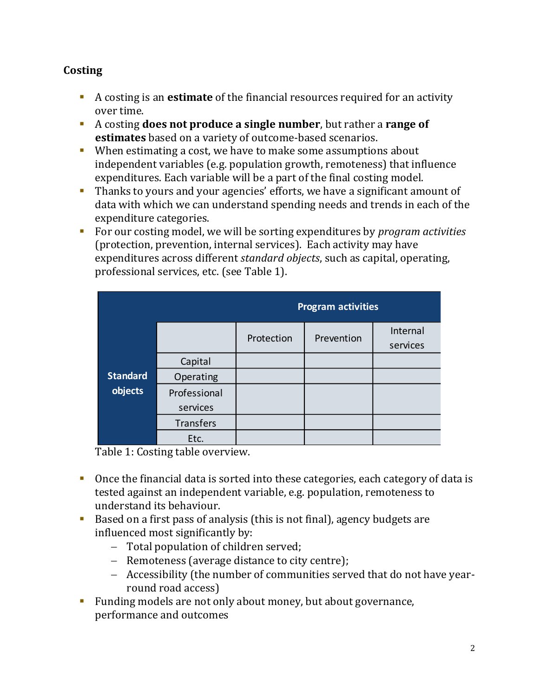## **Costing**

- A costing is an **estimate** of the financial resources required for an activity over time.
- A costing **does not produce a single number**, but rather a **range of estimates** based on a variety of outcome-based scenarios.
- When estimating a cost, we have to make some assumptions about independent variables (e.g. population growth, remoteness) that influence expenditures. Each variable will be a part of the final costing model.
- Thanks to yours and your agencies' efforts, we have a significant amount of data with which we can understand spending needs and trends in each of the expenditure categories.
- For our costing model, we will be sorting expenditures by *program activities* (protection, prevention, internal services). Each activity may have expenditures across different *standard objects*, such as capital, operating, professional services, etc. (see Table 1).

|                            |                          | <b>Program activities</b> |            |                      |
|----------------------------|--------------------------|---------------------------|------------|----------------------|
|                            |                          | Protection                | Prevention | Internal<br>services |
| <b>Standard</b><br>objects | Capital                  |                           |            |                      |
|                            | Operating                |                           |            |                      |
|                            | Professional<br>services |                           |            |                      |
|                            | Transfers                |                           |            |                      |
|                            | Etc.                     |                           |            |                      |

Table 1: Costing table overview.

- Once the financial data is sorted into these categories, each category of data is tested against an independent variable, e.g. population, remoteness to understand its behaviour.
- Based on a first pass of analysis (this is not final), agency budgets are influenced most significantly by:
	- − Total population of children served;
	- − Remoteness (average distance to city centre);
	- − Accessibility (the number of communities served that do not have yearround road access)
- Funding models are not only about money, but about governance, performance and outcomes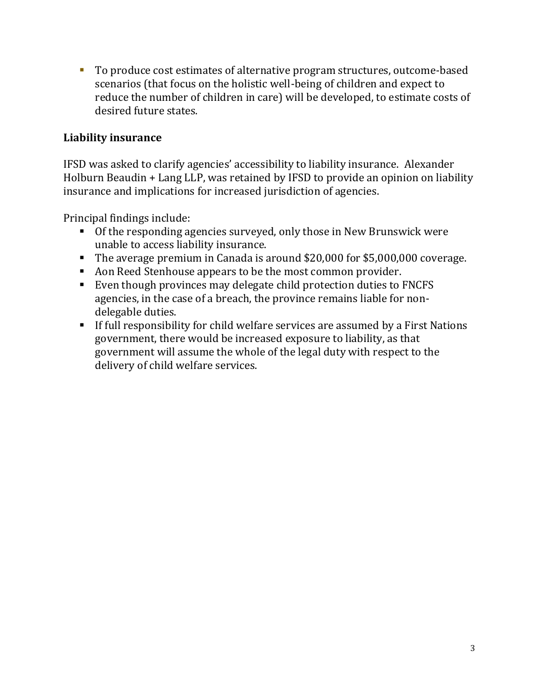■ To produce cost estimates of alternative program structures, outcome-based scenarios (that focus on the holistic well-being of children and expect to reduce the number of children in care) will be developed, to estimate costs of desired future states.

#### **Liability insurance**

IFSD was asked to clarify agencies' accessibility to liability insurance. Alexander Holburn Beaudin + Lang LLP, was retained by IFSD to provide an opinion on liability insurance and implications for increased jurisdiction of agencies.

Principal findings include:

- Of the responding agencies surveyed, only those in New Brunswick were unable to access liability insurance.
- The average premium in Canada is around \$20,000 for \$5,000,000 coverage.
- Aon Reed Stenhouse appears to be the most common provider.
- Even though provinces may delegate child protection duties to FNCFS agencies, in the case of a breach, the province remains liable for nondelegable duties.
- **EXTE:** If full responsibility for child welfare services are assumed by a First Nations government, there would be increased exposure to liability, as that government will assume the whole of the legal duty with respect to the delivery of child welfare services.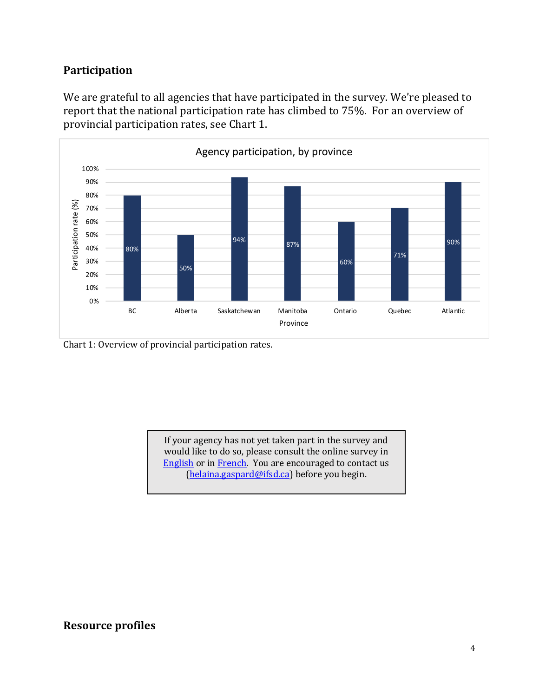#### **Participation**

We are grateful to all agencies that have participated in the survey. We're pleased to report that the national participation rate has climbed to 75%. For an overview of provincial participation rates, see Chart 1.



Chart 1: Overview of provincial participation rates.

If your agency has not yet taken part in the survey and would like to do so, please consult the online survey in **[English](https://www.surveymonkey.com/r/FNCFS2018) or in [French.](https://www.surveymonkey.com/r/FNCFS_FR_2018)** You are encouraged to contact us [\(helaina.gaspard@ifsd.ca\)](mailto:helaina.gaspard@ifsd.ca) before you begin.

#### **Resource profiles**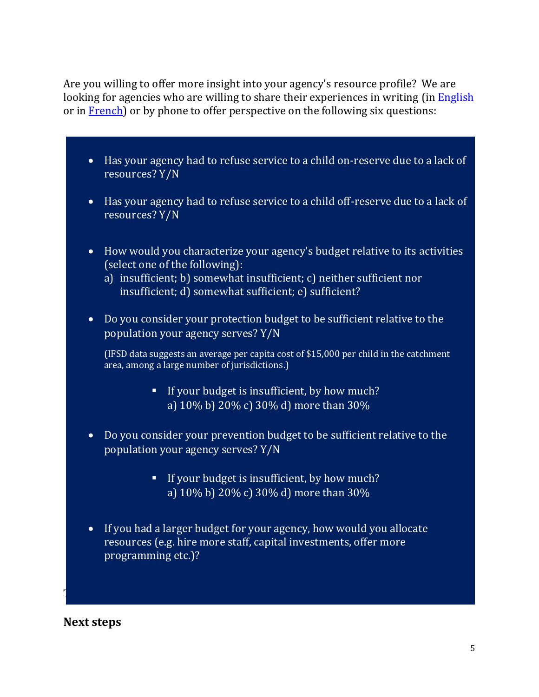Are you willing to offer more insight into your agency's resource profile? We are looking for agencies who are willing to share their experiences in writing (in [English](https://www.surveymonkey.com/r/FKFVLSR) or in **French**) or by phone to offer perspective on the following six questions:

- Has your agency had to refuse service to a child on-reserve due to a lack of resources? Y/N
- Has your agency had to refuse service to a child off-reserve due to a lack of resources? Y/N
- How would you characterize your agency's budget relative to its activities (select one of the following):
	- a) insufficient; b) somewhat insufficient; c) neither sufficient nor insufficient; d) somewhat sufficient; e) sufficient?
- Do you consider your protection budget to be sufficient relative to the population your agency serves? Y/N

(IFSD data suggests an average per capita cost of \$15,000 per child in the catchment area, among a large number of jurisdictions.)

- **•** If your budget is insufficient, by how much? a) 10% b) 20% c) 30% d) more than 30%
- Do you consider your prevention budget to be sufficient relative to the population your agency serves? Y/N
	- **.** If your budget is insufficient, by how much? a) 10% b) 20% c) 30% d) more than 30%
- If you had a larger budget for your agency, how would you allocate resources (e.g. hire more staff, capital investments, offer more programming etc.)?

Thank you to all the agencies who have already shared the agencies who have already shared this information wi<br>Thank you to all the agencies with use of the agencies with use of the agencies with use of the agencies with

**Next steps**